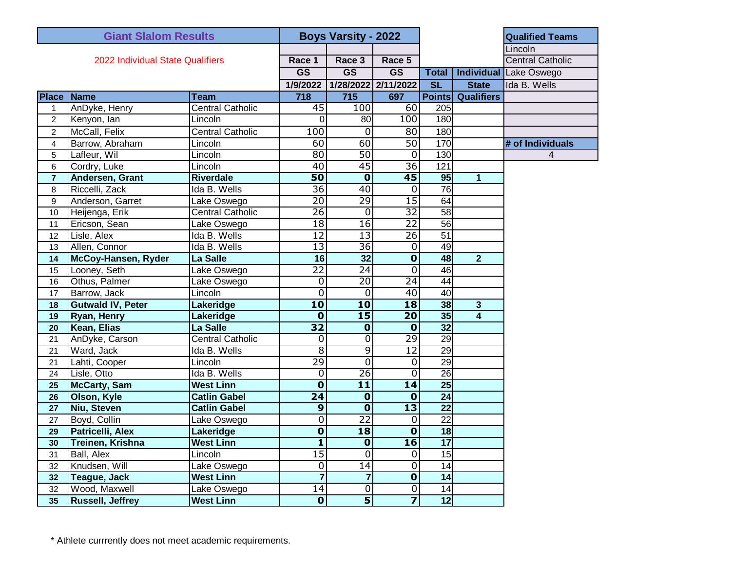| <b>Giant Slalom Results</b>      |                          |                         | <b>Boys Varsity - 2022</b> |                         |                          |                 |                         | <b>Qualified Teams</b>  |
|----------------------------------|--------------------------|-------------------------|----------------------------|-------------------------|--------------------------|-----------------|-------------------------|-------------------------|
|                                  |                          |                         |                            |                         |                          |                 |                         | Lincoln                 |
| 2022 Individual State Qualifiers |                          |                         | Race 1                     | Race 3                  | Race 5                   |                 |                         | <b>Central Catholic</b> |
|                                  |                          |                         | $\overline{\text{GS}}$     | $\overline{\text{GS}}$  | $\overline{\text{GS}}$   | <b>Total</b>    | Individual              | Lake Oswego             |
|                                  |                          |                         | 1/9/2022                   | 1/28/2022               | 2/11/2022                | SL              | <b>State</b>            | Ida B. Wells            |
|                                  | <b>Place Name</b>        | <b>Team</b>             | 718                        | 715                     | 697                      | <b>Points</b>   | <b>Qualifiers</b>       |                         |
| 1                                | AnDyke, Henry            | <b>Central Catholic</b> | 45                         | 100                     | 60                       | 205             |                         |                         |
| $\overline{c}$                   | Kenyon, lan              | Lincoln                 | $\overline{0}$             | 80                      | 100                      | 180             |                         |                         |
| 2                                | McCall, Felix            | <b>Central Catholic</b> | 100                        | 0                       | 80                       | 180             |                         |                         |
| $\overline{\mathbf{4}}$          | Barrow, Abraham          | Lincoln                 | 60                         | 60                      | 50                       | 170             |                         | # of Individuals        |
| 5                                | Lafleur, Wil             | Lincoln                 | 80                         | $\overline{50}$         | $\mathbf 0$              | 130             |                         | 4                       |
| 6                                | Cordry, Luke             | Lincoln                 | 40                         | 45                      | $\overline{36}$          | 121             |                         |                         |
| $\overline{7}$                   | Andersen, Grant          | <b>Riverdale</b>        | $\overline{50}$            | $\overline{\mathbf{0}}$ | $\overline{45}$          | 95              | $\overline{1}$          |                         |
| 8                                | Riccelli, Zack           | Ida B. Wells            | $\overline{36}$            | 40                      | 0                        | 76              |                         |                         |
| 9                                | Anderson, Garret         | Lake Oswego             | $\overline{20}$            | 29                      | $\overline{15}$          | 64              |                         |                         |
| 10                               | Heijenga, Erik           | <b>Central Catholic</b> | $\overline{26}$            | $\overline{0}$          | $\overline{32}$          | $\overline{58}$ |                         |                         |
| 11                               | Ericson, Sean            | Lake Oswego             | $\overline{18}$            | 16                      | $\overline{22}$          | $\overline{56}$ |                         |                         |
| 12                               | Lisle, Alex              | Ida B. Wells            | $\overline{12}$            | $\overline{13}$         | $\overline{26}$          | 51              |                         |                         |
| 13                               | Allen, Connor            | Ida B. Wells            | $\overline{13}$            | $\overline{36}$         | 0                        | 49              |                         |                         |
| 14                               | McCoy-Hansen, Ryder      | La Salle                | 16                         | 32                      | $\overline{\mathbf{0}}$  | 48              | $\overline{2}$          |                         |
| 15                               | Looney, Seth             | Lake Oswego             | $\overline{22}$            | $\overline{24}$         | $\overline{0}$           | 46              |                         |                         |
| 16                               | Othus, Palmer            | Lake Oswego             | $\overline{0}$             | 20                      | $\overline{24}$          | $\overline{44}$ |                         |                         |
| 17                               | Barrow, Jack             | Lincoln                 | $\overline{0}$             | 0                       | $\overline{40}$          | 40              |                         |                         |
| 18                               | <b>Gutwald IV, Peter</b> | Lakeridge               | $\overline{10}$            | 10                      | $\overline{18}$          | 38              | $\overline{3}$          |                         |
| 19                               | Ryan, Henry              | Lakeridge               | $\overline{\mathbf{0}}$    | 15                      | $\overline{20}$          | 35              | $\overline{\mathbf{4}}$ |                         |
| 20                               | Kean, Elias              | La Salle                | $\overline{32}$            | $\overline{\mathbf{0}}$ | $\overline{\mathbf{0}}$  | $\overline{32}$ |                         |                         |
| 21                               | AnDyke, Carson           | <b>Central Catholic</b> | $\overline{0}$             | $\overline{0}$          | 29                       | $\overline{29}$ |                         |                         |
| 21                               | Ward, Jack               | Ida B. Wells            | $\overline{8}$             | 9                       | $\overline{12}$          | 29              |                         |                         |
| 21                               | Lahti, Cooper            | Lincoln                 | 29                         | $\overline{0}$          | 0                        | $\overline{29}$ |                         |                         |
| 24                               | Lisle, Otto              | Ida B. Wells            | $\overline{0}$             | $\overline{26}$         | $\overline{0}$           | 26              |                         |                         |
| 25                               | <b>McCarty, Sam</b>      | <b>West Linn</b>        | $\overline{\mathbf{0}}$    | $\overline{11}$         | $\overline{14}$          | $\overline{25}$ |                         |                         |
| 26                               | Olson, Kyle              | <b>Catlin Gabel</b>     | $\overline{24}$            | $\overline{\mathbf{0}}$ | $\overline{\mathbf{0}}$  | $\overline{24}$ |                         |                         |
| 27                               | Niu, Steven              | <b>Catlin Gabel</b>     | $\boldsymbol{9}$           | $\overline{\mathbf{0}}$ | $\overline{13}$          | $\overline{22}$ |                         |                         |
| 27                               | Boyd, Collin             | Lake Oswego             | $\overline{0}$             | $\overline{22}$         | 0                        | $\overline{22}$ |                         |                         |
| 29                               | Patricelli, Alex         | Lakeridge               | $\overline{\mathbf{0}}$    | 18                      | $\overline{\mathbf{0}}$  | 18              |                         |                         |
| 30                               | Treinen, Krishna         | <b>West Linn</b>        | $\overline{\mathbf{1}}$    | $\mathbf 0$             | $\overline{\mathbf{16}}$ | 17              |                         |                         |
| 31                               | <b>Ball, Alex</b>        | Lincoln                 | 15                         | $\overline{0}$          | $\overline{0}$           | $\overline{15}$ |                         |                         |
| 32                               | Knudsen, Will            | Lake Oswego             | 0                          | 14                      | 0                        | 14              |                         |                         |
| 32                               | <b>Teague, Jack</b>      | <b>West Linn</b>        | $\overline{7}$             | $\overline{7}$          | $\overline{\mathbf{0}}$  | 14              |                         |                         |
| 32                               | Wood, Maxwell            | Lake Oswego             | 14                         | 0                       | $\boldsymbol{0}$         | 14              |                         |                         |
| 35                               | <b>Russell, Jeffrey</b>  | <b>West Linn</b>        | $\overline{\mathbf{0}}$    | $\overline{\mathbf{5}}$ | 7                        | $\overline{12}$ |                         |                         |

\* Athlete currrently does not meet academic requirements.